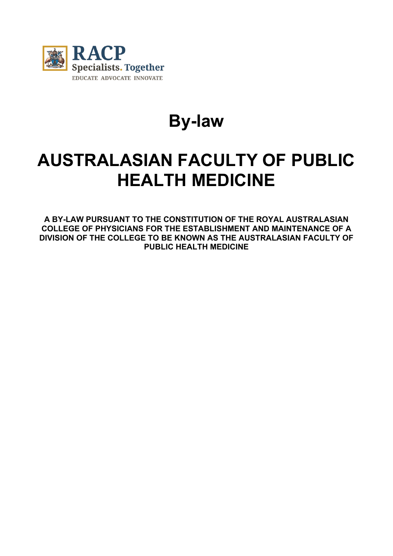

# **By-law**

## **AUSTRALASIAN FACULTY OF PUBLIC HEALTH MEDICINE**

**A BY-LAW PURSUANT TO THE CONSTITUTION OF THE ROYAL AUSTRALASIAN COLLEGE OF PHYSICIANS FOR THE ESTABLISHMENT AND MAINTENANCE OF A DIVISION OF THE COLLEGE TO BE KNOWN AS THE AUSTRALASIAN FACULTY OF PUBLIC HEALTH MEDICINE**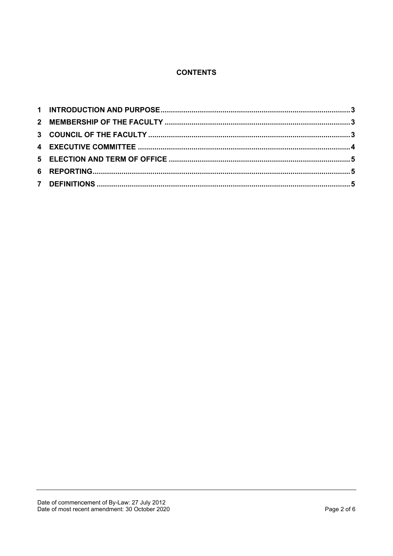## **CONTENTS**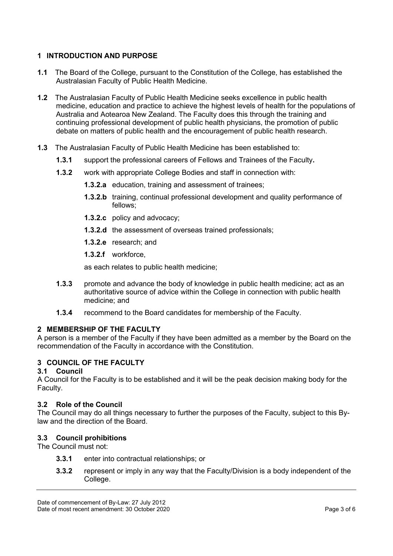## <span id="page-2-0"></span>**1 INTRODUCTION AND PURPOSE**

- **1.1** The Board of the College, pursuant to the Constitution of the College, has established the Australasian Faculty of Public Health Medicine.
- **1.2** The Australasian Faculty of Public Health Medicine seeks excellence in public health medicine, education and practice to achieve the highest levels of health for the populations of Australia and Aotearoa New Zealand. The Faculty does this through the training and continuing professional development of public health physicians, the promotion of public debate on matters of public health and the encouragement of public health research.
- **1.3** The Australasian Faculty of Public Health Medicine has been established to:
	- **1.3.1** support the professional careers of Fellows and Trainees of the Faculty**.**
	- **1.3.2** work with appropriate College Bodies and staff in connection with:
		- **1.3.2.a** education, training and assessment of trainees;
		- **1.3.2.b** training, continual professional development and quality performance of fellows;
		- **1.3.2.c** policy and advocacy;
		- **1.3.2.d** the assessment of overseas trained professionals;
		- **1.3.2.e** research; and
		- **1.3.2.f** workforce,

as each relates to public health medicine;

- **1.3.3** promote and advance the body of knowledge in public health medicine; act as an authoritative source of advice within the College in connection with public health medicine; and
- **1.3.4** recommend to the Board candidates for membership of the Faculty.

## <span id="page-2-1"></span>**2 MEMBERSHIP OF THE FACULTY**

A person is a member of the Faculty if they have been admitted as a member by the Board on the recommendation of the Faculty in accordance with the Constitution.

## <span id="page-2-2"></span>**3 COUNCIL OF THE FACULTY**

## **3.1 Council**

A Council for the Faculty is to be established and it will be the peak decision making body for the Faculty.

## **3.2 Role of the Council**

The Council may do all things necessary to further the purposes of the Faculty, subject to this Bylaw and the direction of the Board.

## **3.3 Council prohibitions**

The Council must not:

- **3.3.1** enter into contractual relationships; or
- **3.3.2** represent or imply in any way that the Faculty/Division is a body independent of the College.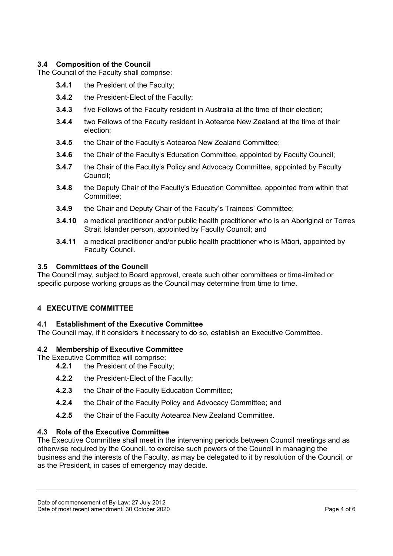## **3.4 Composition of the Council**

The Council of the Faculty shall comprise:

- **3.4.1** the President of the Faculty;
- **3.4.2** the President-Elect of the Faculty;
- **3.4.3** five Fellows of the Faculty resident in Australia at the time of their election;
- **3.4.4** two Fellows of the Faculty resident in Aotearoa New Zealand at the time of their election;
- **3.4.5** the Chair of the Faculty's Aotearoa New Zealand Committee;
- **3.4.6** the Chair of the Faculty's Education Committee, appointed by Faculty Council;
- **3.4.7** the Chair of the Faculty's Policy and Advocacy Committee, appointed by Faculty Council;
- **3.4.8** the Deputy Chair of the Faculty's Education Committee, appointed from within that Committee;
- **3.4.9** the Chair and Deputy Chair of the Faculty's Trainees' Committee;
- **3.4.10** a medical practitioner and/or public health practitioner who is an Aboriginal or Torres Strait Islander person, appointed by Faculty Council; and
- **3.4.11** a medical practitioner and/or public health practitioner who is Māori, appointed by Faculty Council.

#### **3.5 Committees of the Council**

The Council may, subject to Board approval, create such other committees or time-limited or specific purpose working groups as the Council may determine from time to time.

## <span id="page-3-0"></span>**4 EXECUTIVE COMMITTEE**

#### **4.1 Establishment of the Executive Committee**

The Council may, if it considers it necessary to do so, establish an Executive Committee.

#### **4.2 Membership of Executive Committee**

The Executive Committee will comprise:<br>**4.2.1** the President of the Facul

**4.2.1** the President of the Faculty;

- **4.2.2** the President-Elect of the Faculty;
- **4.2.3** the Chair of the Faculty Education Committee;
- **4.2.4** the Chair of the Faculty Policy and Advocacy Committee; and
- **4.2.5** the Chair of the Faculty Aotearoa New Zealand Committee.

## **4.3 Role of the Executive Committee**

The Executive Committee shall meet in the intervening periods between Council meetings and as otherwise required by the Council, to exercise such powers of the Council in managing the business and the interests of the Faculty, as may be delegated to it by resolution of the Council, or as the President, in cases of emergency may decide.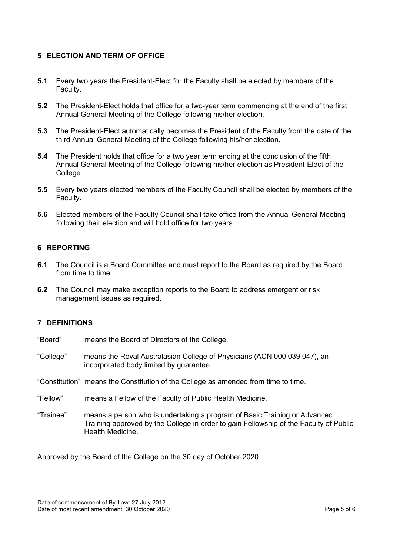## <span id="page-4-0"></span>**5 ELECTION AND TERM OF OFFICE**

- **5.1** Every two years the President-Elect for the Faculty shall be elected by members of the Faculty.
- **5.2** The President-Elect holds that office for a two-year term commencing at the end of the first Annual General Meeting of the College following his/her election.
- **5.3** The President-Elect automatically becomes the President of the Faculty from the date of the third Annual General Meeting of the College following his/her election.
- **5.4** The President holds that office for a two year term ending at the conclusion of the fifth Annual General Meeting of the College following his/her election as President-Elect of the College.
- **5.5** Every two years elected members of the Faculty Council shall be elected by members of the Faculty.
- **5.6** Elected members of the Faculty Council shall take office from the Annual General Meeting following their election and will hold office for two years.

## <span id="page-4-1"></span>**6 REPORTING**

- **6.1** The Council is a Board Committee and must report to the Board as required by the Board from time to time.
- **6.2** The Council may make exception reports to the Board to address emergent or risk management issues as required.

## <span id="page-4-2"></span>**7 DEFINITIONS**

- "Board" means the Board of Directors of the College.
- "College" means the Royal Australasian College of Physicians (ACN 000 039 047), an incorporated body limited by guarantee.
- "Constitution" means the Constitution of the College as amended from time to time.
- "Fellow" means a Fellow of the Faculty of Public Health Medicine.
- "Trainee" means a person who is undertaking a program of Basic Training or Advanced Training approved by the College in order to gain Fellowship of the Faculty of Public Health Medicine.

Approved by the Board of the College on the 30 day of October 2020